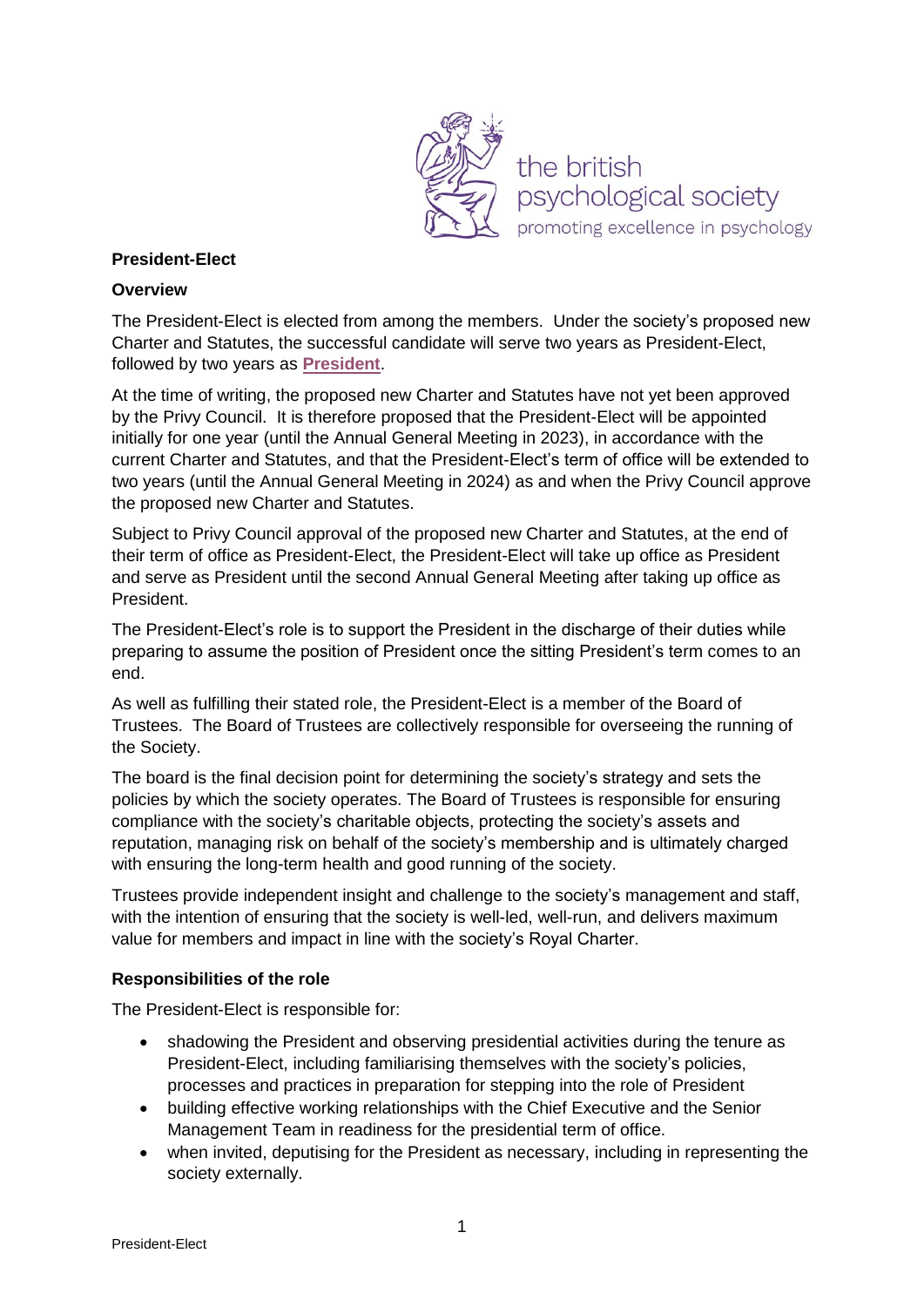

## **President-Elect**

### **Overview**

The President-Elect is elected from among the members. Under the society's proposed new Charter and Statutes, the successful candidate will serve two years as President-Elect, followed by two years as **[President](http://www.bps.org.uk/sites/www.bps.org.uk/files/President%20role%20description.pdf)**.

At the time of writing, the proposed new Charter and Statutes have not yet been approved by the Privy Council. It is therefore proposed that the President-Elect will be appointed initially for one year (until the Annual General Meeting in 2023), in accordance with the current Charter and Statutes, and that the President-Elect's term of office will be extended to two years (until the Annual General Meeting in 2024) as and when the Privy Council approve the proposed new Charter and Statutes.

Subject to Privy Council approval of the proposed new Charter and Statutes, at the end of their term of office as President-Elect, the President-Elect will take up office as President and serve as President until the second Annual General Meeting after taking up office as President.

The President-Elect's role is to support the President in the discharge of their duties while preparing to assume the position of President once the sitting President's term comes to an end.

As well as fulfilling their stated role, the President-Elect is a member of the Board of Trustees. The Board of Trustees are collectively responsible for overseeing the running of the Society.

The board is the final decision point for determining the society's strategy and sets the policies by which the society operates. The Board of Trustees is responsible for ensuring compliance with the society's charitable objects, protecting the society's assets and reputation, managing risk on behalf of the society's membership and is ultimately charged with ensuring the long-term health and good running of the society.

Trustees provide independent insight and challenge to the society's management and staff, with the intention of ensuring that the society is well-led, well-run, and delivers maximum value for members and impact in line with the society's Royal Charter.

### **Responsibilities of the role**

The President-Elect is responsible for:

- shadowing the President and observing presidential activities during the tenure as President-Elect, including familiarising themselves with the society's policies, processes and practices in preparation for stepping into the role of President
- building effective working relationships with the Chief Executive and the Senior Management Team in readiness for the presidential term of office.
- when invited, deputising for the President as necessary, including in representing the society externally.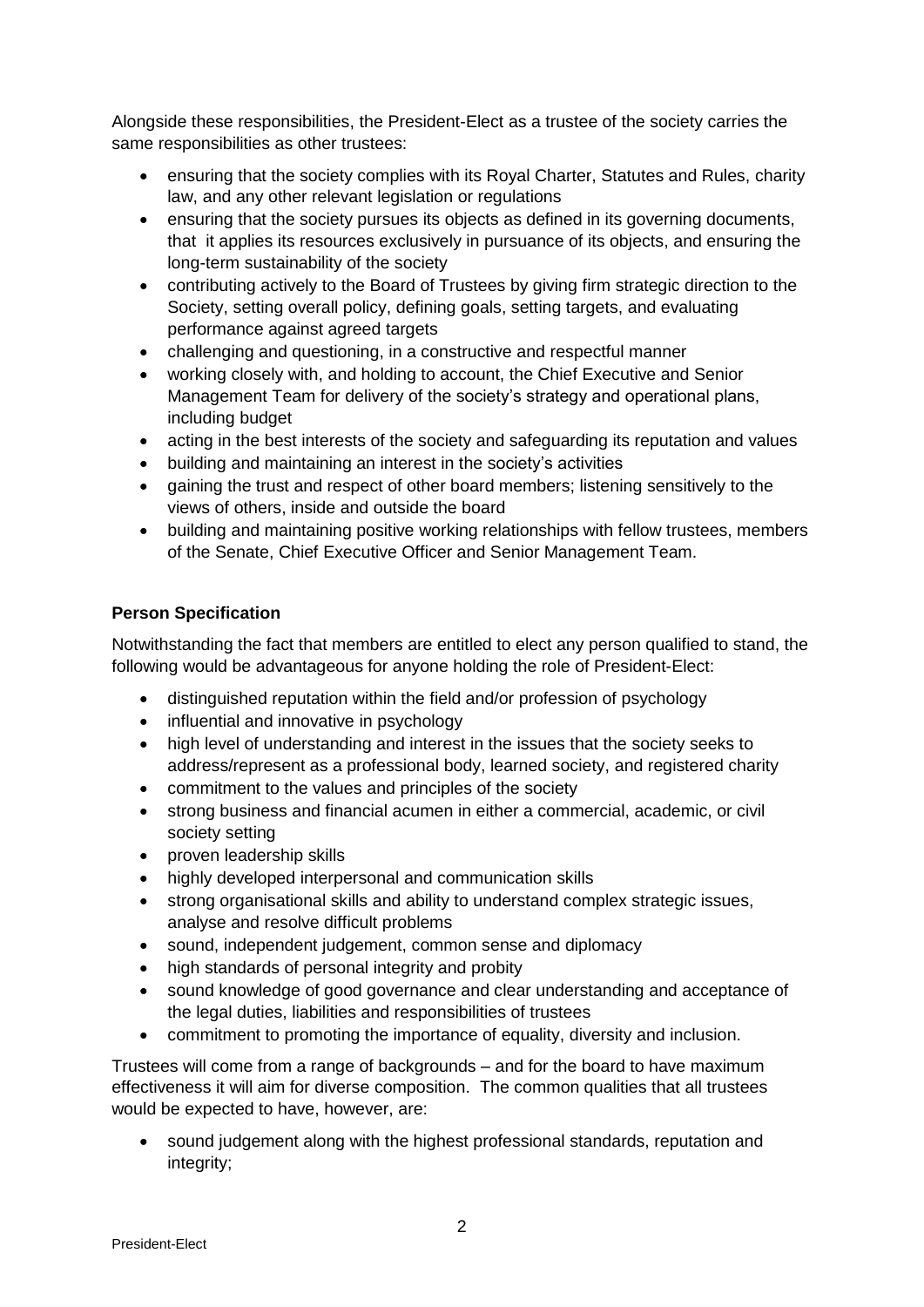Alongside these responsibilities, the President-Elect as a trustee of the society carries the same responsibilities as other trustees:

- ensuring that the society complies with its Royal Charter, Statutes and Rules, charity law, and any other relevant legislation or regulations
- ensuring that the society pursues its objects as defined in its governing documents, that it applies its resources exclusively in pursuance of its objects, and ensuring the long-term sustainability of the society
- contributing actively to the Board of Trustees by giving firm strategic direction to the Society, setting overall policy, defining goals, setting targets, and evaluating performance against agreed targets
- challenging and questioning, in a constructive and respectful manner
- working closely with, and holding to account, the Chief Executive and Senior Management Team for delivery of the society's strategy and operational plans, including budget
- acting in the best interests of the society and safeguarding its reputation and values
- building and maintaining an interest in the society's activities
- gaining the trust and respect of other board members; listening sensitively to the views of others, inside and outside the board
- building and maintaining positive working relationships with fellow trustees, members of the Senate, Chief Executive Officer and Senior Management Team.

# **Person Specification**

Notwithstanding the fact that members are entitled to elect any person qualified to stand, the following would be advantageous for anyone holding the role of President-Elect:

- distinguished reputation within the field and/or profession of psychology
- influential and innovative in psychology
- high level of understanding and interest in the issues that the society seeks to address/represent as a professional body, learned society, and registered charity
- commitment to the values and principles of the society
- strong business and financial acumen in either a commercial, academic, or civil society setting
- proven leadership skills
- highly developed interpersonal and communication skills
- strong organisational skills and ability to understand complex strategic issues, analyse and resolve difficult problems
- sound, independent judgement, common sense and diplomacy
- high standards of personal integrity and probity
- sound knowledge of good governance and clear understanding and acceptance of the legal duties, liabilities and responsibilities of trustees
- commitment to promoting the importance of equality, diversity and inclusion.

Trustees will come from a range of backgrounds – and for the board to have maximum effectiveness it will aim for diverse composition. The common qualities that all trustees would be expected to have, however, are:

 sound judgement along with the highest professional standards, reputation and integrity;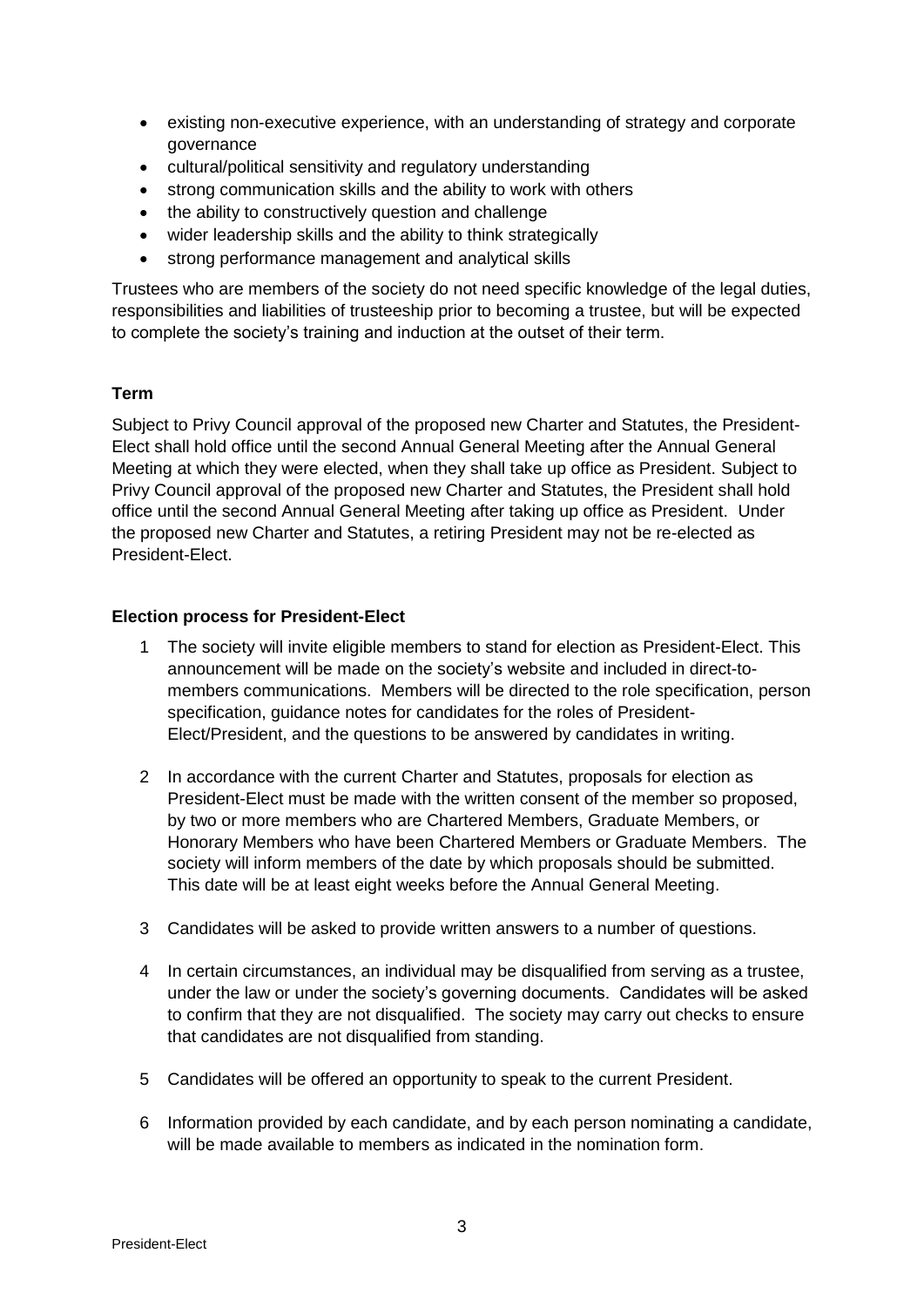- existing non-executive experience, with an understanding of strategy and corporate governance
- cultural/political sensitivity and regulatory understanding
- strong communication skills and the ability to work with others
- the ability to constructively question and challenge
- wider leadership skills and the ability to think strategically
- strong performance management and analytical skills

Trustees who are members of the society do not need specific knowledge of the legal duties, responsibilities and liabilities of trusteeship prior to becoming a trustee, but will be expected to complete the society's training and induction at the outset of their term.

# **Term**

Subject to Privy Council approval of the proposed new Charter and Statutes, the President-Elect shall hold office until the second Annual General Meeting after the Annual General Meeting at which they were elected, when they shall take up office as President. Subject to Privy Council approval of the proposed new Charter and Statutes, the President shall hold office until the second Annual General Meeting after taking up office as President. Under the proposed new Charter and Statutes, a retiring President may not be re-elected as President-Elect.

## **Election process for President-Elect**

- 1 The society will invite eligible members to stand for election as President-Elect. This announcement will be made on the society's website and included in direct-tomembers communications. Members will be directed to the role specification, person specification, guidance notes for candidates for the roles of President-Elect/President, and the questions to be answered by candidates in writing.
- 2 In accordance with the current Charter and Statutes, proposals for election as President-Elect must be made with the written consent of the member so proposed, by two or more members who are Chartered Members, Graduate Members, or Honorary Members who have been Chartered Members or Graduate Members. The society will inform members of the date by which proposals should be submitted. This date will be at least eight weeks before the Annual General Meeting.
- 3 Candidates will be asked to provide written answers to a number of questions.
- 4 In certain circumstances, an individual may be disqualified from serving as a trustee, under the law or under the society's governing documents. Candidates will be asked to confirm that they are not disqualified. The society may carry out checks to ensure that candidates are not disqualified from standing.
- 5 Candidates will be offered an opportunity to speak to the current President.
- 6 Information provided by each candidate, and by each person nominating a candidate, will be made available to members as indicated in the nomination form.